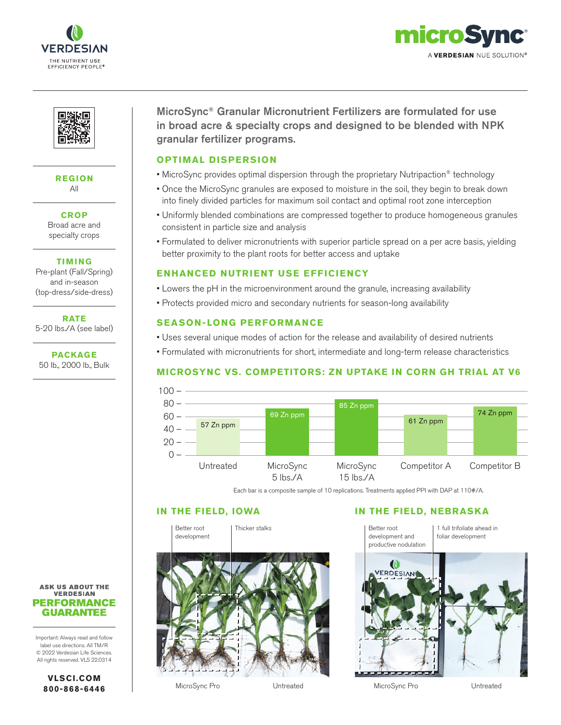





#### **REGION** All

**CROP** Broad acre and specialty crops

**TIMING**

Pre-plant (Fall/Spring) and in-season (top-dress/side-dress)

**RATE** 5-20 lbs./A (see label)

**PACKAGE** 50 lb., 2000 lb., Bulk MicroSync® Granular Micronutrient Fertilizers are formulated for use in broad acre & specialty crops and designed to be blended with NPK granular fertilizer programs.

#### **OPTIMAL DISPERSION**

- MicroSync provides optimal dispersion through the proprietary Nutripaction® technology
- Once the MicroSync granules are exposed to moisture in the soil, they begin to break down into finely divided particles for maximum soil contact and optimal root zone interception
- Uniformly blended combinations are compressed together to produce homogeneous granules consistent in particle size and analysis
- Formulated to deliver micronutrients with superior particle spread on a per acre basis, yielding better proximity to the plant roots for better access and uptake

## **ENHANCED NUTRIENT USE EFFICIENCY**

- Lowers the pH in the microenvironment around the granule, increasing availability
- Protects provided micro and secondary nutrients for season-long availability

## **SEASON-LONG PERFORMANCE**

- Uses several unique modes of action for the release and availability of desired nutrients
- Formulated with micronutrients for short, intermediate and long-term release characteristics

## **MICROSYNC VS. COMPETITORS: ZN UPTAKE IN CORN GH TRIAL AT V6**



Each bar is a composite sample of 10 replications. Treatments applied PPI with DAP at 110#/A.



# **IN THE FIELD, IOWA IN THE FIELD, NEBRASKA**



**ASK US ABOUT THE VERDESIAN PERFORMANCE GUARANTEE** 

Important: Always read and follow label use directions. All TM/R © 2022 Verdesian Life Sciences. All rights reserved. VLS 22.0314

> **VLSCI.COM 800-868-6446**

MicroSync Pro Untreated MicroSync Pro Untreated